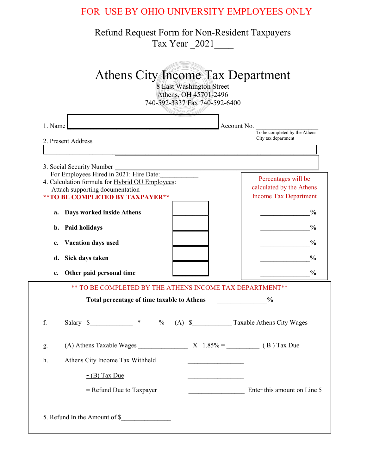## FOR USE BY OHIO UNIVERSITY EMPLOYEES ONLY

## Refund Request Form for Non-Resident Taxpayers Tax Year \_2021\_\_\_\_

|         | <b>ATHENS, OHA</b>                                                                                                                                                                             |                                                                                 |
|---------|------------------------------------------------------------------------------------------------------------------------------------------------------------------------------------------------|---------------------------------------------------------------------------------|
| 1. Name | 2. Present Address                                                                                                                                                                             | Account No.<br>To be completed by the Athens<br>City tax department             |
|         |                                                                                                                                                                                                |                                                                                 |
|         | 3. Social Security Number<br>For Employees Hired in 2021: Hire Date:<br>4. Calculation formula for Hybrid OU Employees:<br>Attach supporting documentation<br>** TO BE COMPLETED BY TAXPAYER** | Percentages will be<br>calculated by the Athens<br><b>Income Tax Department</b> |
| a.      | Days worked inside Athens                                                                                                                                                                      | $\frac{0}{0}$                                                                   |
| b.      | <b>Paid holidays</b>                                                                                                                                                                           | $\frac{0}{0}$                                                                   |
| c.      | <b>Vacation days used</b>                                                                                                                                                                      | $\frac{6}{9}$                                                                   |
| d.      | Sick days taken                                                                                                                                                                                | $\frac{0}{0}$                                                                   |
| e.      | Other paid personal time                                                                                                                                                                       | $\frac{0}{0}$                                                                   |
|         | ** TO BE COMPLETED BY THE ATHENS INCOME TAX DEPARTMENT**                                                                                                                                       |                                                                                 |
|         | Total percentage of time taxable to Athens                                                                                                                                                     | $\frac{0}{0}$                                                                   |
| f.      | Salary \$                                                                                                                                                                                      | * $\% = (A) \$ Taxable Athens City Wages                                        |
| g.      | (A) Athens Taxable Wages                                                                                                                                                                       | $X \quad 1.85\% =$ (B) Tax Due                                                  |
| h.      | Athens City Income Tax Withheld                                                                                                                                                                |                                                                                 |
|         | $-$ (B) Tax Due                                                                                                                                                                                |                                                                                 |
|         | $=$ Refund Due to Taxpayer                                                                                                                                                                     | Enter this amount on Line 5                                                     |